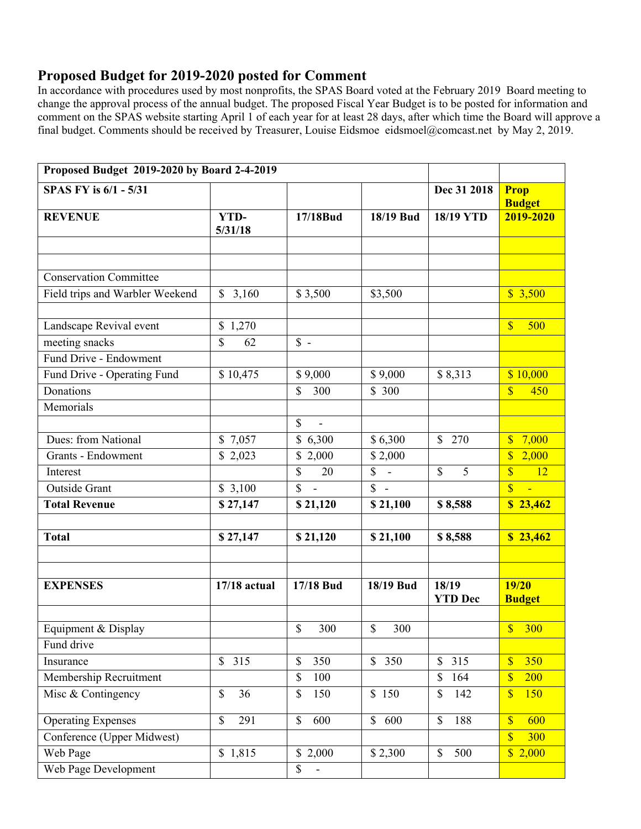## **Proposed Budget for 2019-2020 posted for Comment**

In accordance with procedures used by most nonprofits, the SPAS Board voted at the February 2019 Board meeting to change the approval process of the annual budget. The proposed Fiscal Year Budget is to be posted for information and comment on the SPAS website starting April 1 of each year for at least 28 days, after which time the Board will approve a final budget. Comments should be received by Treasurer, Louise Eidsmoe eidsmoel@comcast.net by May 2, 2019.

| Proposed Budget 2019-2020 by Board 2-4-2019 |                                  |                                   |                   |                         |                                                     |
|---------------------------------------------|----------------------------------|-----------------------------------|-------------------|-------------------------|-----------------------------------------------------|
| SPAS FY is 6/1 - 5/31                       |                                  |                                   |                   | Dec 31 2018             | <b>Prop</b><br><b>Budget</b>                        |
| <b>REVENUE</b>                              | <b>YTD-</b><br>5/31/18           | 17/18Bud                          | 18/19 Bud         | <b>18/19 YTD</b>        | 2019-2020                                           |
|                                             |                                  |                                   |                   |                         |                                                     |
| <b>Conservation Committee</b>               |                                  |                                   |                   |                         |                                                     |
| Field trips and Warbler Weekend             | \$3,160                          | \$3,500                           | \$3,500           |                         | \$3,500                                             |
| Landscape Revival event                     | \$1,270                          |                                   |                   |                         | $\mathbf{\$\}$<br>500                               |
| meeting snacks                              | \$<br>62                         | $S -$                             |                   |                         |                                                     |
| Fund Drive - Endowment                      |                                  |                                   |                   |                         |                                                     |
| Fund Drive - Operating Fund                 | \$10,475                         | \$9,000                           | \$9,000           | \$8,313                 | \$10,000                                            |
| Donations                                   |                                  | \$<br>300                         | \$300             |                         | $\overline{\mathbb{S}}$<br>450                      |
| Memorials                                   |                                  |                                   |                   |                         |                                                     |
|                                             |                                  | \$<br>$\blacksquare$              |                   |                         |                                                     |
| Dues: from National                         | \$7,057                          | \$6,300                           | \$6,300           | \$270                   | 7,000<br>$\overline{\mathbb{S}}$                    |
| <b>Grants - Endowment</b>                   | \$2,023                          | \$2,000                           | \$2,000           |                         | $\overline{\mathbb{S}}$<br>2,000                    |
| Interest                                    |                                  | \$<br>20                          | \$<br>$\sim$      | $\mathbb{S}$<br>5       | $\overline{\mathbb{S}}$<br>12                       |
| Outside Grant                               | \$3,100                          | $\overline{\mathbb{S}}$<br>$\sim$ | $\overline{\$}$ - |                         | $\overline{\mathbb{S}}$<br>$\overline{\phantom{0}}$ |
| <b>Total Revenue</b>                        | \$27,147                         | \$21,120                          | \$21,100          | \$8,588                 | \$23,462                                            |
|                                             |                                  |                                   |                   |                         |                                                     |
| <b>Total</b>                                | \$27,147                         | \$21,120                          | \$21,100          | \$8,588                 | \$23,462                                            |
|                                             |                                  |                                   |                   |                         |                                                     |
| <b>EXPENSES</b>                             | <b>17/18</b> actual              | 17/18 Bud                         | 18/19 Bud         | 18/19<br><b>YTD Dec</b> | 19/20<br><b>Budget</b>                              |
|                                             |                                  |                                   |                   |                         |                                                     |
| Equipment & Display                         |                                  | \$<br>300                         | \$<br>300         |                         | S<br><b>300</b>                                     |
| Fund drive                                  |                                  |                                   |                   |                         |                                                     |
| Insurance                                   | $\mathbb{S}$<br>315              | \$<br>350                         | \$350             | 315<br>\$               | $\overline{\mathbb{S}}$<br>350                      |
| Membership Recruitment                      |                                  | \$<br>100                         |                   | \$<br>164               | $\overline{\mathbb{S}}$<br>200                      |
| Misc & Contingency                          | $\mathbb{S}$<br>36               | \$<br>150                         | \$150             | $\mathbb{S}$<br>142     | $\overline{\mathbb{S}}$<br>150                      |
| <b>Operating Expenses</b>                   | $\boldsymbol{\mathsf{S}}$<br>291 | \$<br>600                         | \$600             | \$<br>188               | $\overline{\mathbb{S}}$<br>600                      |
| Conference (Upper Midwest)                  |                                  |                                   |                   |                         | $\overline{\mathbb{S}}$<br>300                      |
| Web Page                                    | \$1,815                          | \$2,000                           | \$2,300           | $\$$<br>500             | \$2,000                                             |
| Web Page Development                        |                                  | \$<br>$\blacksquare$              |                   |                         |                                                     |